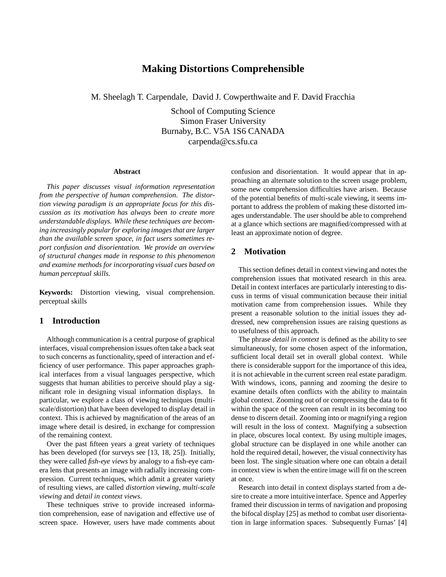# **Making Distortions Comprehensible**

M. Sheelagh T. Carpendale, David J. Cowperthwaite and F. David Fracchia

School of Computing Science Simon Fraser University Burnaby, B.C. V5A 1S6 CANADA carpenda@cs.sfu.ca

### **Abstract**

*This paper discusses visual information representation from the perspective of human comprehension. The distortion viewing paradigm is an appropriate focus for this discussion as its motivation has always been to create more understandable displays. While these techniques are becoming increasingly popular for exploring images that are larger than the available screen space, in fact users sometimes report confusion and disorientation. We provide an overview of structural changes made in response to this phenomenon and examine methods for incorporating visual cues based on human perceptual skills.*

**Keywords:** Distortion viewing, visual comprehension. perceptual skills

## **1 Introduction**

Although communication is a central purpose of graphical interfaces, visual comprehension issues often take a back seat to such concerns as functionality, speed of interaction and efficiency of user performance. This paper approaches graphical interfaces from a visual languages perspective, which suggests that human abilities to perceive should play a significant role in designing visual information displays. In particular, we explore a class of viewing techniques (multiscale/distortion) that have been developed to display detail in context. This is achieved by magnification of the areas of an image where detail is desired, in exchange for compression of the remaining context.

Over the past fifteen years a great variety of techniques has been developed (for surveys see [13, 18, 25]). Initially, they were called *fish-eye views* by analogy to a fish-eye camera lens that presents an image with radially increasing compression. Current techniques, which admit a greater variety of resulting views, are called *distortion viewing, multi-scale viewing* and *detail in context views*.

These techniques strive to provide increased information comprehension, ease of navigation and effective use of screen space. However, users have made comments about confusion and disorientation. It would appear that in approaching an alternate solution to the screen usage problem, some new comprehension difficulties have arisen. Because of the potential benefits of multi-scale viewing, it seems important to address the problem of making these distorted images understandable. The user should be able to comprehend at a glance which sections are magnified/compressed with at least an approximate notion of degree.

## **2 Motivation**

This section defines detail in context viewing and notes the comprehension issues that motivated research in this area. Detail in context interfaces are particularly interesting to discuss in terms of visual communication because their initial motivation came from comprehension issues. While they present a reasonable solution to the initial issues they addressed, new comprehension issues are raising questions as to usefulness of this approach.

The phrase *detail in context* is defined as the ability to see simultaneously, for some chosen aspect of the information, sufficient local detail set in overall global context. While there is considerable support for the importance of this idea, it is not achievable in the current screen real estate paradigm. With windows, icons, panning and zooming the desire to examine details often conflicts with the ability to maintain global context. Zooming out of or compressing the data to fit within the space of the screen can result in its becoming too dense to discern detail. Zooming into or magnifying a region will result in the loss of context. Magnifying a subsection in place, obscures local context. By using multiple images, global structure can be displayed in one while another can hold the required detail, however, the visual connectivity has been lost. The single situation where one can obtain a detail in context view is when the entire image will fit on the screen at once.

Research into detail in context displays started from a desire to create a more intuitive interface. Spence and Apperley framed their discussion in terms of navigation and proposing the bifocal display [25] as method to combat user disorientation in large information spaces. Subsequently Furnas' [4]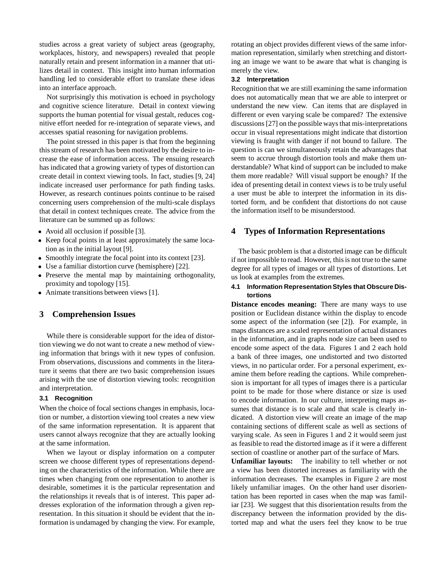studies across a great variety of subject areas (geography, workplaces, history, and newspapers) revealed that people naturally retain and present information in a manner that utilizes detail in context. This insight into human information handling led to considerable effort to translate these ideas into an interface approach.

Not surprisingly this motivation is echoed in psychology and cognitive science literature. Detail in context viewing supports the human potential for visual gestalt, reduces cognitive effort needed for re-integration of separate views, and accesses spatial reasoning for navigation problems.

The point stressed in this paper is that from the beginning this stream of research has been motivated by the desire to increase the ease of information access. The ensuing research has indicated that a growing variety of types of distortion can create detail in context viewing tools. In fact, studies [9, 24] indicate increased user performance for path finding tasks. However, as research continues points continue to be raised concerning users comprehension of the multi-scale displays that detail in context techniques create. The advice from the literature can be summed up as follows:

- Avoid all occlusion if possible [3].
- Keep focal points in at least approximately the same location as in the initial layout [9].
- Smoothly integrate the focal point into its context [23].
- Use a familiar distortion curve (hemisphere) [22].
- Preserve the mental map by maintaining orthogonality, proximity and topology [15].
- Animate transitions between views [1].

## **3 Comprehension Issues**

While there is considerable support for the idea of distortion viewing we do not want to create a new method of viewing information that brings with it new types of confusion. From observations, discussions and comments in the literature it seems that there are two basic comprehension issues arising with the use of distortion viewing tools: recognition and interpretation.

## **3.1 Recognition**

When the choice of focal sections changes in emphasis, location or number, a distortion viewing tool creates a new view of the same information representation. It is apparent that users cannot always recognize that they are actually looking at the same information.

When we layout or display information on a computer screen we choose different types of representations depending on the characteristics of the information. While there are times when changing from one representation to another is desirable, sometimes it is the particular representation and the relationships it reveals that is of interest. This paper addresses exploration of the information through a given representation. In this situation it should be evident that the information is undamaged by changing the view. For example,

rotating an object provides different views of the same information representation, similarly when stretching and distorting an image we want to be aware that what is changing is merely the view.

#### **3.2 Interpretation**

Recognition that we are still examining the same information does not automatically mean that we are able to interpret or understand the new view. Can items that are displayed in different or even varying scale be compared? The extensive discussions [27] on the possible ways that mis-interpretations occur in visual representations might indicate that distortion viewing is fraught with danger if not bound to failure. The question is can we simultaneously retain the advantages that seem to accrue through distortion tools and make them understandable? What kind of support can be included to make them more readable? Will visual support be enough? If the idea of presenting detail in context views is to be truly useful a user must be able to interpret the information in its distorted form, and be confident that distortions do not cause the information itself to be misunderstood.

## **4 Types of Information Representations**

The basic problem is that a distorted image can be difficult if not impossible to read. However, this is not true to the same degree for all types of images or all types of distortions. Let us look at examples from the extremes.

## **4.1 Information Representation Styles that Obscure Distortions**

**Distance encodes meaning:** There are many ways to use position or Euclidean distance within the display to encode some aspect of the information (see [2]). For example, in maps distances are a scaled representation of actual distances in the information, and in graphs node size can been used to encode some aspect of the data. Figures 1 and 2 each hold a bank of three images, one undistorted and two distorted views, in no particular order. For a personal experiment, examine them before reading the captions. While comprehension is important for all types of images there is a particular point to be made for those where distance or size is used to encode information. In our culture, interpreting maps assumes that distance is to scale and that scale is clearly indicated. A distortion view will create an image of the map containing sections of different scale as well as sections of varying scale. As seen in Figures 1 and 2 it would seem just as feasible to read the distorted image as if it were a different section of coastline or another part of the surface of Mars.

**Unfamiliar layouts:** The inability to tell whether or not a view has been distorted increases as familiarity with the information decreases. The examples in Figure 2 are most likely unfamiliar images. On the other hand user disorientation has been reported in cases when the map was familiar [23]. We suggest that this disorientation results from the discrepancy between the information provided by the distorted map and what the users feel they know to be true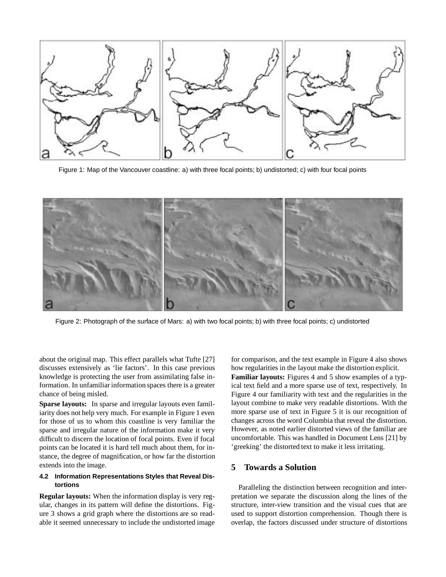

Figure 1: Map of the Vancouver coastline: a) with three focal points; b) undistorted; c) with four focal points



Figure 2: Photograph of the surface of Mars: a) with two focal points; b) with three focal points; c) undistorted

about the original map. This effect parallels what Tufte [27] discusses extensively as 'lie factors'. In this case previous knowledge is protecting the user from assimilating false information. In unfamiliar information spaces there is a greater chance of being misled.

**Sparse layouts:** In sparse and irregular layouts even familiarity does not help very much. For example in Figure 1 even for those of us to whom this coastline is very familiar the sparse and irregular nature of the information make it very difficult to discern the location of focal points. Even if focal points can be located it is hard tell much about them, for instance, the degree of magnification, or how far the distortion extends into the image.

## **4.2 Information Representations Styles that Reveal Distortions**

**Regular layouts:** When the information display is very regular, changes in its pattern will define the distortions. Figure 3 shows a grid graph where the distortions are so readable it seemed unnecessary to include the undistorted image

for comparison, and the text example in Figure 4 also shows how regularities in the layout make the distortion explicit.

**Familiar layouts:** Figures 4 and 5 show examples of a typical text field and a more sparse use of text, respectively. In Figure 4 our familiarity with text and the regularities in the layout combine to make very readable distortions. With the more sparse use of text in Figure 5 it is our recognition of changes across the word Columbia that reveal the distortion. However, as noted earlier distorted views of the familiar are uncomfortable. This was handled in Document Lens [21] by 'greeking' the distorted text to make it less irritating.

## **5 Towards a Solution**

Paralleling the distinction between recognition and interpretation we separate the discussion along the lines of the structure, inter-view transition and the visual cues that are used to support distortion comprehension. Though there is overlap, the factors discussed under structure of distortions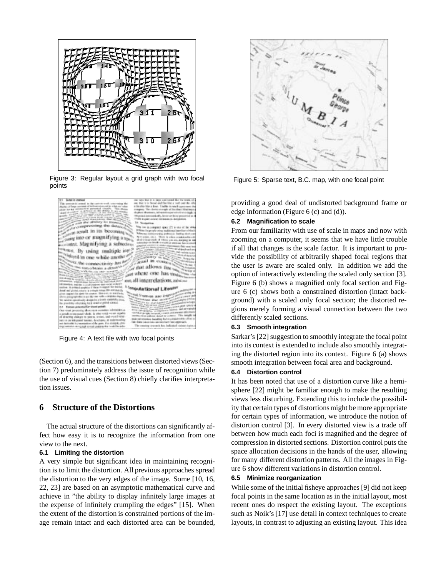

Figure 3: Regular layout a grid graph with two focal points



Figure 4: A text file with two focal points

(Section 6), and the transitions between distorted views (Section 7) predominately address the issue of recognition while the use of visual cues (Section 8) chiefly clarifies interpretation issues.

## **6 Structure of the Distortions**

The actual structure of the distortions can significantly affect how easy it is to recognize the information from one view to the next.

## **6.1 Limiting the distortion**

A very simple but significant idea in maintaining recognition is to limit the distortion. All previous approaches spread the distortion to the very edges of the image. Some [10, 16, 22, 23] are based on an asymptotic mathematical curve and achieve in "the ability to display infinitely large images at the expense of infinitely crumpling the edges" [15]. When the extent of the distortion is constrained portions of the image remain intact and each distorted area can be bounded,



Figure 5: Sparse text, B.C. map, with one focal point

providing a good deal of undistorted background frame or edge information (Figure 6 (c) and (d)).

#### **6.2 Magnification to scale**

From our familiarity with use of scale in maps and now with zooming on a computer, it seems that we have little trouble if all that changes is the scale factor. It is important to provide the possibility of arbitrarily shaped focal regions that the user is aware are scaled only. In addition we add the option of interactively extending the scaled only section [3]. Figure 6 (b) shows a magnified only focal section and Figure 6 (c) shows both a constrained distortion (intact background) with a scaled only focal section; the distorted regions merely forming a visual connection between the two differently scaled sections.

### **6.3 Smooth integration**

Sarkar's [22] suggestion to smoothly integrate the focal point into its context is extended to include also smoothly integrating the distorted region into its context. Figure 6 (a) shows smooth integration between focal area and background.

# **6.4 Distortion control**

It has been noted that use of a distortion curve like a hemisphere [22] might be familiar enough to make the resulting views less disturbing. Extending this to include the possibility that certain types of distortions might be more appropriate for certain types of information, we introduce the notion of distortion control [3]. In every distorted view is a trade off between how much each foci is magnified and the degree of compression in distorted sections. Distortion control puts the space allocation decisions in the hands of the user, allowing for many different distortion patterns. All the images in Figure 6 show different variations in distortion control.

#### **6.5 Minimize reorganization**

While some of the initial fisheye approaches [9] did not keep focal points in the same location as in the initial layout, most recent ones do respect the existing layout. The exceptions such as Noik's [17] use detail in context techniques to create layouts, in contrast to adjusting an existing layout. This idea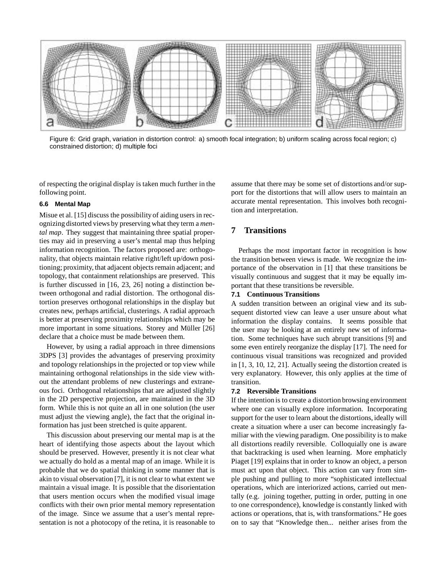

Figure 6: Grid graph, variation in distortion control: a) smooth focal integration; b) uniform scaling across focal region; c) constrained distortion; d) multiple foci

of respecting the original display is taken much further in the following point.

## **6.6 Mental Map**

Misue et al. [15] discuss the possibilityof aiding users in recognizing distorted views by preserving what they term a *mental map*. They suggest that maintaining three spatial properties may aid in preserving a user's mental map thus helping information recognition. The factors proposed are: orthogonality, that objects maintain relative right/left up/down positioning; proximity, that adjacent objects remain adjacent; and topology, that containment relationships are preserved. This is further discussed in [16, 23, 26] noting a distinction between orthogonal and radial distortion. The orthogonal distortion preserves orthogonal relationships in the display but creates new, perhaps artificial, clusterings. A radial approach is better at preserving proximity relationships which may be more important in some situations. Storey and Müller [26] declare that a choice must be made between them.

However, by using a radial approach in three dimensions 3DPS [3] provides the advantages of preserving proximity and topology relationships in the projected or top view while maintaining orthogonal relationships in the side view without the attendant problems of new clusterings and extraneous foci. Orthogonal relationships that are adjusted slightly in the 2D perspective projection, are maintained in the 3D form. While this is not quite an all in one solution (the user must adjust the viewing angle), the fact that the original information has just been stretched is quite apparent.

This discussion about preserving our mental map is at the heart of identifying those aspects about the layout which should be preserved. However, presently it is not clear what we actually do hold as a mental map of an image. While it is probable that we do spatial thinking in some manner that is akin to visual observation [7], it is not clear to what extent we maintain a visual image. It is possible that the disorientation that users mention occurs when the modified visual image conflicts with their own prior mental memory representation of the image. Since we assume that a user's mental representation is not a photocopy of the retina, it is reasonable to assume that there may be some set of distortions and/or support for the distortions that will allow users to maintain an accurate mental representation. This involves both recognition and interpretation.

## **7 Transitions**

Perhaps the most important factor in recognition is how the transition between views is made. We recognize the importance of the observation in [1] that these transitions be visually continuous and suggest that it may be equally important that these transitions be reversible.

#### **7.1 Continuous Transitions**

A sudden transition between an original view and its subsequent distorted view can leave a user unsure about what information the display contains. It seems possible that the user may be looking at an entirely new set of information. Some techniques have such abrupt transitions [9] and some even entirely reorganize the display [17]. The need for continuous visual transitions was recognized and provided in [1, 3, 10, 12, 21]. Actually seeing the distortion created is very explanatory. However, this only applies at the time of transition.

#### **7.2 Reversible Transitions**

If the intention is to create a distortion browsing environment where one can visually explore information. Incorporating support for the user to learn about the distortions, ideally will create a situation where a user can become increasingly familiar with the viewing paradigm. One possibility is to make all distortions readily reversible. Colloquially one is aware that backtracking is used when learning. More emphaticly Piaget [19] explains that in order to know an object, a person must act upon that object. This action can vary from simple pushing and pulling to more "sophisticated intellectual operations, which are interiorized actions, carried out mentally (e.g. joining together, putting in order, putting in one to one correspondence), knowledge is constantly linked with actions or operations, that is, with transformations." He goes on to say that "Knowledge then... neither arises from the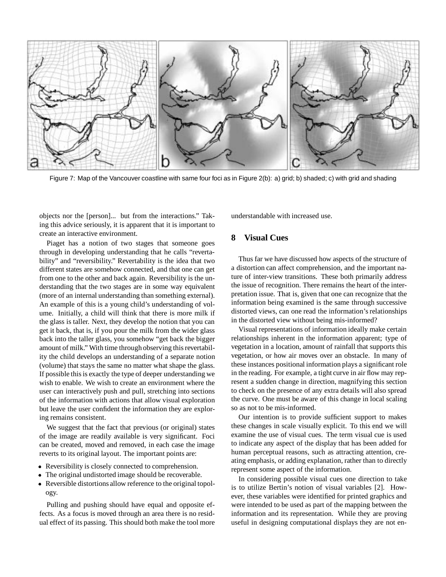

Figure 7: Map of the Vancouver coastline with same four foci as in Figure 2(b): a) grid; b) shaded; c) with grid and shading

objects nor the [person]... but from the interactions." Taking this advice seriously, it is apparent that it is important to create an interactive environment.

Piaget has a notion of two stages that someone goes through in developing understanding that he calls "revertability" and "reversibility." Revertability is the idea that two different states are somehow connected, and that one can get from one to the other and back again. Reversibility is the understanding that the two stages are in some way equivalent (more of an internal understanding than something external). An example of this is a young child's understanding of volume. Initially, a child will think that there is more milk if the glass is taller. Next, they develop the notion that you can get it back, that is, if you pour the milk from the wider glass back into the taller glass, you somehow "get back the bigger amount of milk." With time through observing this revertability the child develops an understanding of a separate notion (volume) that stays the same no matter what shape the glass. If possible this is exactly the type of deeper understanding we wish to enable. We wish to create an environment where the user can interactively push and pull, stretching into sections of the information with actions that allow visual exploration but leave the user confident the information they are exploring remains consistent.

We suggest that the fact that previous (or original) states of the image are readily available is very significant. Foci can be created, moved and removed, in each case the image reverts to its original layout. The important points are:

- Reversibility is closely connected to comprehension.
- The original undistorted image should be recoverable.
- Reversible distortions allow reference to the original topology.

Pulling and pushing should have equal and opposite effects. As a focus is moved through an area there is no residual effect of its passing. This should both make the tool more understandable with increased use.

# **8 Visual Cues**

Thus far we have discussed how aspects of the structure of a distortion can affect comprehension, and the important nature of inter-view transitions. These both primarily address the issue of recognition. There remains the heart of the interpretation issue. That is, given that one can recognize that the information being examined is the same through successive distorted views, can one read the information's relationships in the distorted view without being mis-informed?

Visual representations of information ideally make certain relationships inherent in the information apparent; type of vegetation in a location, amount of rainfall that supports this vegetation, or how air moves over an obstacle. In many of these instances positional information plays a significant role in the reading. For example, a tight curve in air flow may represent a sudden change in direction, magnifying this section to check on the presence of any extra details will also spread the curve. One must be aware of this change in local scaling so as not to be mis-informed.

Our intention is to provide sufficient support to makes these changes in scale visually explicit. To this end we will examine the use of visual cues. The term visual cue is used to indicate any aspect of the display that has been added for human perceptual reasons, such as attracting attention, creating emphasis, or adding explanation, rather than to directly represent some aspect of the information.

In considering possible visual cues one direction to take is to utilize Bertin's notion of visual variables [2]. However, these variables were identified for printed graphics and were intended to be used as part of the mapping between the information and its representation. While they are proving useful in designing computational displays they are not en-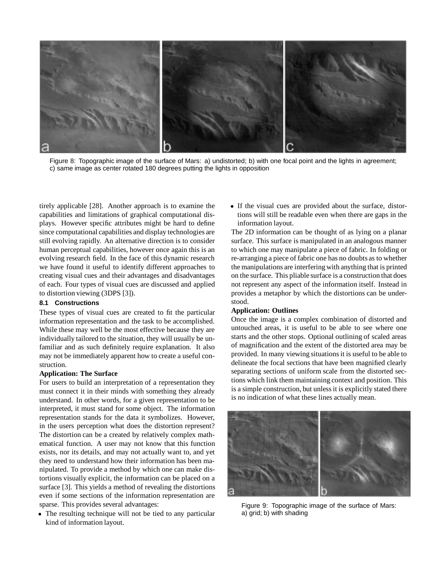

Figure 8: Topographic image of the surface of Mars: a) undistorted; b) with one focal point and the lights in agreement; c) same image as center rotated 180 degrees putting the lights in opposition

tirely applicable [28]. Another approach is to examine the capabilities and limitations of graphical computational displays. However specific attributes might be hard to define since computational capabilities and display technologies are still evolving rapidly. An alternative direction is to consider human perceptual capabilities, however once again this is an evolving research field. In the face of this dynamic research we have found it useful to identify different approaches to creating visual cues and their advantages and disadvantages of each. Four types of visual cues are discussed and applied to distortion viewing (3DPS [3]).

## **8.1 Constructions**

These types of visual cues are created to fit the particular information representation and the task to be accomplished. While these may well be the most effective because they are individually tailored to the situation, they will usually be unfamiliar and as such definitely require explanation. It also may not be immediately apparent how to create a useful construction.

#### **Application: The Surface**

For users to build an interpretation of a representation they must connect it in their minds with something they already understand. In other words, for a given representation to be interpreted, it must stand for some object. The information representation stands for the data it symbolizes. However, in the users perception what does the distortion represent? The distortion can be a created by relatively complex mathematical function. A user may not know that this function exists, nor its details, and may not actually want to, and yet they need to understand how their information has been manipulated. To provide a method by which one can make distortions visually explicit, the information can be placed on a surface [3]. This yields a method of revealing the distortions even if some sections of the information representation are sparse. This provides several advantages:

 The resulting technique will not be tied to any particular kind of information layout.

 If the visual cues are provided about the surface, distortions will still be readable even when there are gaps in the information layout.

The 2D information can be thought of as lying on a planar surface. This surface is manipulated in an analogous manner to which one may manipulate a piece of fabric. In folding or re-arranging a piece of fabric one has no doubts as to whether the manipulations are interfering with anything that is printed on the surface. This pliable surface is a construction that does not represent any aspect of the information itself. Instead in provides a metaphor by which the distortions can be understood.

#### **Application: Outlines**

Once the image is a complex combination of distorted and untouched areas, it is useful to be able to see where one starts and the other stops. Optional outlining of scaled areas of magnification and the extent of the distorted area may be provided. In many viewing situations it is useful to be able to delineate the focal sections that have been magnified clearly separating sections of uniform scale from the distorted sections which link them maintaining context and position. This is a simple construction, but unless it is explicitly stated there is no indication of what these lines actually mean.



Figure 9: Topographic image of the surface of Mars: a) grid; b) with shading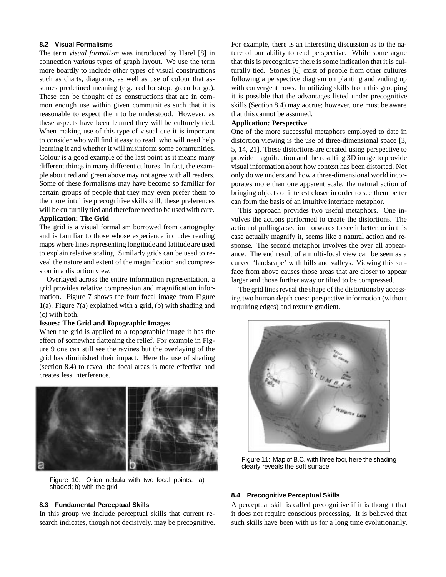## **8.2 Visual Formalisms**

The term *visual formalism* was introduced by Harel [8] in connection various types of graph layout. We use the term more boardly to include other types of visual constructions such as charts, diagrams, as well as use of colour that assumes predefined meaning (e.g. red for stop, green for go). These can be thought of as constructions that are in common enough use within given communities such that it is reasonable to expect them to be understood. However, as these aspects have been learned they will be culturely tied. When making use of this type of visual cue it is important to consider who will find it easy to read, who will need help learning it and whether it will misinform some communities. Colour is a good example of the last point as it means many different things in many different cultures. In fact, the example about red and green above may not agree with all readers. Some of these formalisms may have become so familiar for certain groups of people that they may even prefer them to the more intuitive precognitive skills still, these preferences will be culturally tied and therefore need to be used with care.

## **Application: The Grid**

The grid is a visual formalism borrowed from cartography and is familiar to those whose experience includes reading maps where lines representing longitude and latitude are used to explain relative scaling. Similarly grids can be used to reveal the nature and extent of the magnification and compression in a distortion view.

Overlayed across the entire information representation, a grid provides relative compression and magnification information. Figure 7 shows the four focal image from Figure 1(a). Figure 7(a) explained with a grid, (b) with shading and (c) with both.

#### **Issues: The Grid and Topographic Images**

When the grid is applied to a topographic image it has the effect of somewhat flattening the relief. For example in Figure 9 one can still see the ravines but the overlaying of the grid has diminished their impact. Here the use of shading (section 8.4) to reveal the focal areas is more effective and creates less interference.



Figure 10: Orion nebula with two focal points: a) shaded; b) with the grid

#### **8.3 Fundamental Perceptual Skills**

In this group we include perceptual skills that current research indicates, though not decisively, may be precognitive. For example, there is an interesting discussion as to the nature of our ability to read perspective. While some argue that this is precognitive there is some indication that it is culturally tied. Stories [6] exist of people from other cultures following a perspective diagram on planting and ending up with convergent rows. In utilizing skills from this grouping it is possible that the advantages listed under precognitive skills (Section 8.4) may accrue; however, one must be aware that this cannot be assumed.

## **Application: Perspective**

One of the more successful metaphors employed to date in distortion viewing is the use of three-dimensional space [3, 5, 14, 21]. These distortions are created using perspective to provide magnification and the resulting 3D image to provide visual information about how context has been distorted. Not only do we understand how a three-dimensional world incorporates more than one apparent scale, the natural action of bringing objects of interest closer in order to see them better can form the basis of an intuitive interface metaphor.

This approach provides two useful metaphors. One involves the actions performed to create the distortions. The action of pulling a section forwards to see it better, or in this case actually magnify it, seems like a natural action and response. The second metaphor involves the over all appearance. The end result of a multi-focal view can be seen as a curved 'landscape' with hills and valleys. Viewing this surface from above causes those areas that are closer to appear larger and those further away or tilted to be compressed.

The grid lines reveal the shape of the distortionsby accessing two human depth cues: perspective information (without requiring edges) and texture gradient.



Figure 11: Map of B.C. with three foci, here the shading clearly reveals the soft surface

## **8.4 Precognitive Perceptual Skills**

A perceptual skill is called precognitive if it is thought that it does not require conscious processing. It is believed that such skills have been with us for a long time evolutionarily.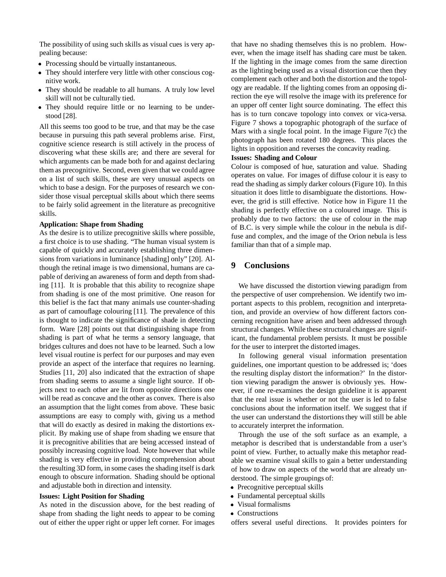The possibility of using such skills as visual cues is very appealing because:

- Processing should be virtually instantaneous.
- They should interfere very little with other conscious cognitive work.
- They should be readable to all humans. A truly low level skill will not be culturally tied.
- They should require little or no learning to be understood [28].

All this seems too good to be true, and that may be the case because in pursuing this path several problems arise. First, cognitive science research is still actively in the process of discovering what these skills are; and there are several for which arguments can be made both for and against declaring them as precognitive. Second, even given that we could agree on a list of such skills, these are very unusual aspects on which to base a design. For the purposes of research we consider those visual perceptual skills about which there seems to be fairly solid agreement in the literature as precognitive skills.

## **Application: Shape from Shading**

As the desire is to utilize precognitive skills where possible, a first choice is to use shading. "The human visual system is capable of quickly and accurately establishing three dimensions from variations in luminance [shading] only" [20]. Although the retinal image is two dimensional, humans are capable of deriving an awareness of form and depth from shading [11]. It is probable that this ability to recognize shape from shading is one of the most primitive. One reason for this belief is the fact that many animals use counter-shading as part of camouflage colouring [11]. The prevalence of this is thought to indicate the significance of shade in detecting form. Ware [28] points out that distinguishing shape from shading is part of what he terms a sensory language, that bridges cultures and does not have to be learned. Such a low level visual routine is perfect for our purposes and may even provide an aspect of the interface that requires no learning. Studies [11, 20] also indicated that the extraction of shape from shading seems to assume a single light source. If objects next to each other are lit from opposite directions one will be read as concave and the other as convex. There is also an assumption that the light comes from above. These basic assumptions are easy to comply with, giving us a method that will do exactly as desired in making the distortions explicit. By making use of shape from shading we ensure that it is precognitive abilities that are being accessed instead of possibly increasing cognitive load. Note however that while shading is very effective in providing comprehension about the resulting 3D form, in some cases the shading itself is dark enough to obscure information. Shading should be optional and adjustable both in direction and intensity.

#### **Issues: Light Position for Shading**

As noted in the discussion above, for the best reading of shape from shading the light needs to appear to be coming out of either the upper right or upper left corner. For images

that have no shading themselves this is no problem. However, when the image itself has shading care must be taken. If the lighting in the image comes from the same direction as the lighting being used as a visual distortion cue then they complement each other and both the distortion and the topology are readable. If the lighting comes from an opposing direction the eye will resolve the image with its preference for an upper off center light source dominating. The effect this has is to turn concave topology into convex or vica-versa. Figure 7 shows a topographic photograph of the surface of Mars with a single focal point. In the image Figure 7(c) the photograph has been rotated 180 degrees. This places the lights in opposition and reverses the concavity reading.

## **Issues: Shading and Colour**

Colour is composed of hue, saturation and value. Shading operates on value. For images of diffuse colour it is easy to read the shading as simply darker colours (Figure 10). In this situation it does little to disambiguate the distortions. However, the grid is still effective. Notice how in Figure 11 the shading is perfectly effective on a coloured image. This is probably due to two factors: the use of colour in the map of B.C. is very simple while the colour in the nebula is diffuse and complex, and the image of the Orion nebula is less familiar than that of a simple map.

# **9 Conclusions**

We have discussed the distortion viewing paradigm from the perspective of user comprehension. We identify two important aspects to this problem, recognition and interpretation, and provide an overview of how different factors concerning recognition have arisen and been addressed through structural changes. While these structural changes are significant, the fundamental problem persists. It must be possible for the user to interpret the distorted images.

In following general visual information presentation guidelines, one important question to be addressed is; 'does the resulting display distort the information?' In the distortion viewing paradigm the answer is obviously yes. However, if one re-examines the design guideline it is apparent that the real issue is whether or not the user is led to false conclusions about the information itself. We suggest that if the user can understand the distortions they will still be able to accurately interpret the information.

Through the use of the soft surface as an example, a metaphor is described that is understandable from a user's point of view. Further, to actually make this metaphor readable we examine visual skills to gain a better understanding of how to draw on aspects of the world that are already understood. The simple groupings of:

- Precognitive perceptual skills
- Fundamental perceptual skills
- Visual formalisms
- Constructions

offers several useful directions. It provides pointers for